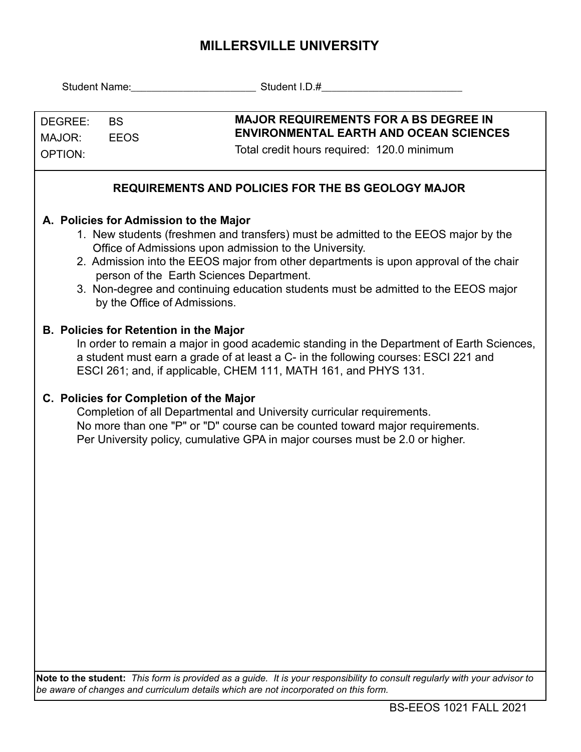## **MILLERSVILLE UNIVERSITY**

| DEGREE:<br><b>BS</b><br>MAJOR:<br><b>EEOS</b><br><b>OPTION:</b>                                                                                                                                                                                                                                                                                                                                                                                   | <b>MAJOR REQUIREMENTS FOR A BS DEGREE IN</b><br><b>ENVIRONMENTAL EARTH AND OCEAN SCIENCES</b><br>Total credit hours required: 120.0 minimum                                                                                             |  |  |  |  |  |  |  |  |  |
|---------------------------------------------------------------------------------------------------------------------------------------------------------------------------------------------------------------------------------------------------------------------------------------------------------------------------------------------------------------------------------------------------------------------------------------------------|-----------------------------------------------------------------------------------------------------------------------------------------------------------------------------------------------------------------------------------------|--|--|--|--|--|--|--|--|--|
| <b>REQUIREMENTS AND POLICIES FOR THE BS GEOLOGY MAJOR</b>                                                                                                                                                                                                                                                                                                                                                                                         |                                                                                                                                                                                                                                         |  |  |  |  |  |  |  |  |  |
| A. Policies for Admission to the Major<br>1. New students (freshmen and transfers) must be admitted to the EEOS major by the<br>Office of Admissions upon admission to the University.<br>2. Admission into the EEOS major from other departments is upon approval of the chair<br>person of the Earth Sciences Department.<br>3. Non-degree and continuing education students must be admitted to the EEOS major<br>by the Office of Admissions. |                                                                                                                                                                                                                                         |  |  |  |  |  |  |  |  |  |
| <b>B. Policies for Retention in the Major</b><br>In order to remain a major in good academic standing in the Department of Earth Sciences,<br>a student must earn a grade of at least a C- in the following courses: ESCI 221 and<br>ESCI 261; and, if applicable, CHEM 111, MATH 161, and PHYS 131.                                                                                                                                              |                                                                                                                                                                                                                                         |  |  |  |  |  |  |  |  |  |
| C. Policies for Completion of the Major                                                                                                                                                                                                                                                                                                                                                                                                           | Completion of all Departmental and University curricular requirements.<br>No more than one "P" or "D" course can be counted toward major requirements.<br>Per University policy, cumulative GPA in major courses must be 2.0 or higher. |  |  |  |  |  |  |  |  |  |
|                                                                                                                                                                                                                                                                                                                                                                                                                                                   | Note to the student: This form is provided as a guide. It is your responsibility to consult regularly with your advisor to                                                                                                              |  |  |  |  |  |  |  |  |  |

*be aware of changes and curriculum details which are not incorporated on this form.*